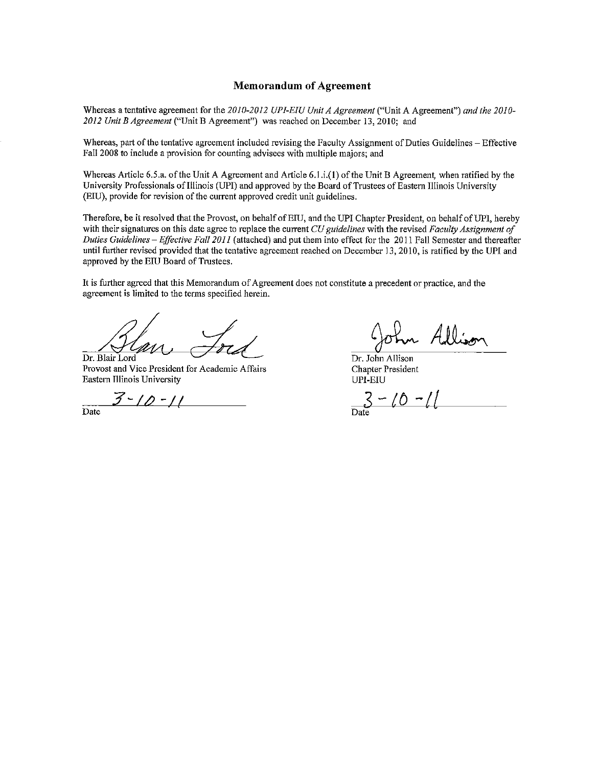#### **Memorandum of Agreement**

Whereas a tentative agreement for the 2010-2012 UPI-EIU Unit A Agreement ("Unit A Agreement") and the 2010-2012 Unit B Agreement ("Unit B Agreement") was reached on December 13, 2010; and

Whereas, part of the tentative agreement included revising the Faculty Assignment of Duties Guidelines - Effective Fall 2008 to include a provision for counting advisees with multiple majors; and

Whereas Article 6.5.a. of the Unit A Agreement and Article 6.1.i.(1) of the Unit B Agreement, when ratified by the University Professionals of Illinois (UPI) and approved by the Board of Trustees of Eastern Illinois University (EIU), provide for revision of the current approved credit unit guidelines.

Therefore, be it resolved that the Provost, on behalf of EIU, and the UPI Chapter President, on behalf of UPI, hereby with their signatures on this date agree to replace the current CU guidelines with the revised Faculty Assignment of Duties Guidelines - Effective Fall 2011 (attached) and put them into effect for the 2011 Fall Semester and thereafter until further revised provided that the tentative agreement reached on December 13, 2010, is ratified by the UPI and approved by the EIU Board of Trustees.

It is further agreed that this Memorandum of Agreement does not constitute a precedent or practice, and the agreement is limited to the terms specified herein.

Dr. Blair Lord

Provost and Vice President for Academic Affairs Eastern Illinois University

<u> 3 - 10 - 11</u>

 $\overline{Date}$ 

Dr. John Allison **Chapter President** UPI-EIU

 $-10 -$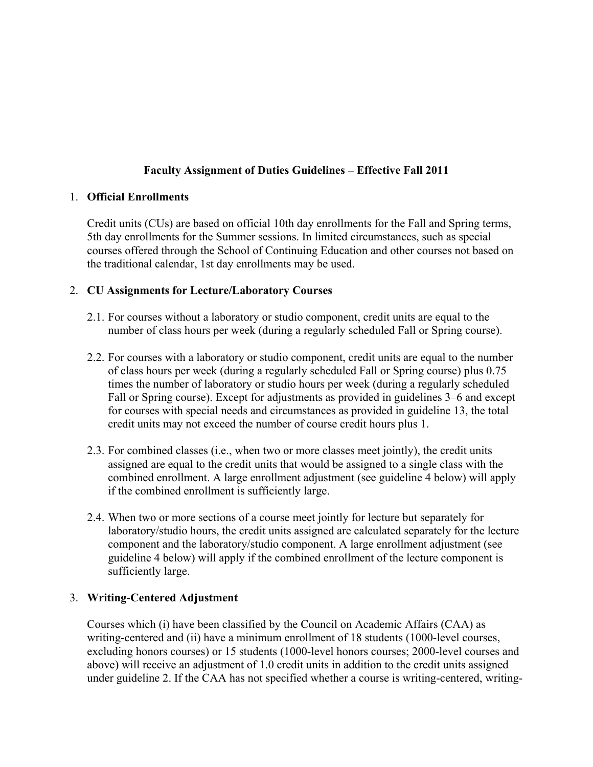### **Faculty Assignment of Duties Guidelines – Effective Fall 2011**

#### 1. **Official Enrollments**

Credit units (CUs) are based on official 10th day enrollments for the Fall and Spring terms, 5th day enrollments for the Summer sessions. In limited circumstances, such as special courses offered through the School of Continuing Education and other courses not based on the traditional calendar, 1st day enrollments may be used.

#### 2. **CU Assignments for Lecture/Laboratory Courses**

- 2.1. For courses without a laboratory or studio component, credit units are equal to the number of class hours per week (during a regularly scheduled Fall or Spring course).
- 2.2. For courses with a laboratory or studio component, credit units are equal to the number of class hours per week (during a regularly scheduled Fall or Spring course) plus 0.75 times the number of laboratory or studio hours per week (during a regularly scheduled Fall or Spring course). Except for adjustments as provided in guidelines 3–6 and except for courses with special needs and circumstances as provided in guideline 13, the total credit units may not exceed the number of course credit hours plus 1.
- 2.3. For combined classes (i.e., when two or more classes meet jointly), the credit units assigned are equal to the credit units that would be assigned to a single class with the combined enrollment. A large enrollment adjustment (see guideline 4 below) will apply if the combined enrollment is sufficiently large.
- 2.4. When two or more sections of a course meet jointly for lecture but separately for laboratory/studio hours, the credit units assigned are calculated separately for the lecture component and the laboratory/studio component. A large enrollment adjustment (see guideline 4 below) will apply if the combined enrollment of the lecture component is sufficiently large.

#### 3. **Writing-Centered Adjustment**

Courses which (i) have been classified by the Council on Academic Affairs (CAA) as writing-centered and (ii) have a minimum enrollment of 18 students (1000-level courses, excluding honors courses) or 15 students (1000-level honors courses; 2000-level courses and above) will receive an adjustment of 1.0 credit units in addition to the credit units assigned under guideline 2. If the CAA has not specified whether a course is writing-centered, writing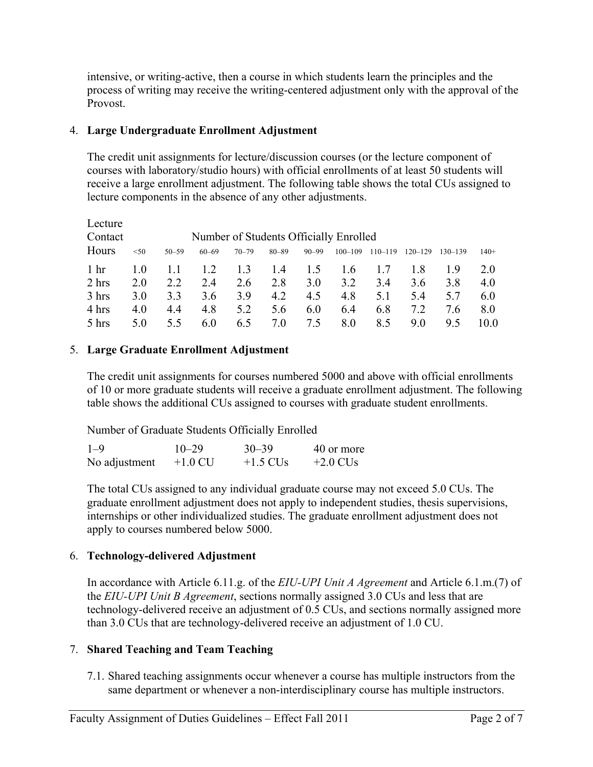intensive, or writing-active, then a course in which students learn the principles and the process of writing may receive the writing-centered adjustment only with the approval of the Provost.

### 4. **Large Undergraduate Enrollment Adjustment**

The credit unit assignments for lecture/discussion courses (or the lecture component of courses with laboratory/studio hours) with official enrollments of at least 50 students will receive a large enrollment adjustment. The following table shows the total CUs assigned to lecture components in the absence of any other adjustments.

| Lecture         |      |           |           |           |           |           |                                        |             |             |             |        |
|-----------------|------|-----------|-----------|-----------|-----------|-----------|----------------------------------------|-------------|-------------|-------------|--------|
| Contact         |      |           |           |           |           |           | Number of Students Officially Enrolled |             |             |             |        |
| Hours           | < 50 | $50 - 59$ | $60 - 69$ | $70 - 79$ | $80 - 89$ | $90 - 99$ | $100 - 109$                            | $110 - 119$ | $120 - 129$ | $130 - 139$ | $140+$ |
| 1 <sub>hr</sub> | 1.0  |           | 1.2       | 1.3       | 1.4       | 1.5       | 1.6                                    |             | 1.8         | 19          | 2.0    |
| 2 hrs           | 2.0  | 2.2       | 24        | 2.6       | 2.8       | 3.0       | 3.2                                    | 3.4         | 3.6         | 38          | 4.0    |
| 3 hrs           | 3.0  | 33        | 3.6       | 39        | 4.2       | 4.5       | 4.8                                    | 5.1         | 54          | 5.7         | 6.0    |
| 4 hrs           | 4.0  | 4.4       | 4.8       | 5.2       | 5.6       | 6.0       | 6.4                                    | 6.8         | 7.2         | 76          | 8.0    |
| 5 hrs           | 5.0  | 5.5       | 6.0       | 6.5       | 7.0       | 75        | 8.0                                    | 8.5         | 90          | 95          | 10 0   |

# 5. **Large Graduate Enrollment Adjustment**

The credit unit assignments for courses numbered 5000 and above with official enrollments of 10 or more graduate students will receive a graduate enrollment adjustment. The following table shows the additional CUs assigned to courses with graduate student enrollments.

Number of Graduate Students Officially Enrolled

| $1 - 9$       | $10 - 29$ | $30 - 39$  | 40 or more |
|---------------|-----------|------------|------------|
| No adjustment | $+1.0$ CU | $+1.5$ CUs | $+2.0$ CUs |

The total CUs assigned to any individual graduate course may not exceed 5.0 CUs. The graduate enrollment adjustment does not apply to independent studies, thesis supervisions, internships or other individualized studies. The graduate enrollment adjustment does not apply to courses numbered below 5000.

# 6. **Technology-delivered Adjustment**

In accordance with Article 6.11.g. of the *EIU-UPI Unit A Agreement* and Article 6.1.m.(7) of the *EIU-UPI Unit B Agreement*, sections normally assigned 3.0 CUs and less that are technology-delivered receive an adjustment of 0.5 CUs, and sections normally assigned more than 3.0 CUs that are technology-delivered receive an adjustment of 1.0 CU.

# 7. **Shared Teaching and Team Teaching**

7.1. Shared teaching assignments occur whenever a course has multiple instructors from the same department or whenever a non-interdisciplinary course has multiple instructors.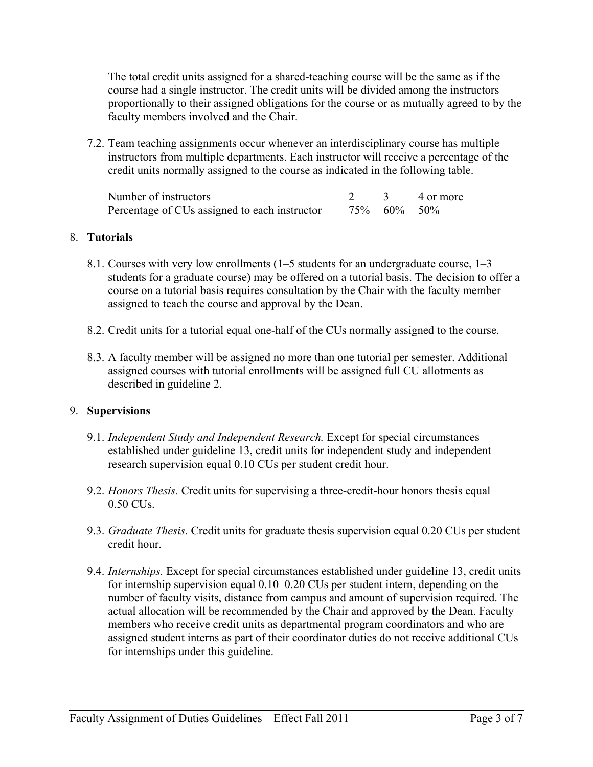The total credit units assigned for a shared-teaching course will be the same as if the course had a single instructor. The credit units will be divided among the instructors proportionally to their assigned obligations for the course or as mutually agreed to by the faculty members involved and the Chair.

7.2. Team teaching assignments occur whenever an interdisciplinary course has multiple instructors from multiple departments. Each instructor will receive a percentage of the credit units normally assigned to the course as indicated in the following table.

| Number of instructors                         |                | 3 4 or more |
|-----------------------------------------------|----------------|-------------|
| Percentage of CUs assigned to each instructor | 75\% 60\% 50\% |             |

#### 8. **Tutorials**

- 8.1. Courses with very low enrollments (1–5 students for an undergraduate course, 1–3 students for a graduate course) may be offered on a tutorial basis. The decision to offer a course on a tutorial basis requires consultation by the Chair with the faculty member assigned to teach the course and approval by the Dean.
- 8.2. Credit units for a tutorial equal one-half of the CUs normally assigned to the course.
- 8.3. A faculty member will be assigned no more than one tutorial per semester. Additional assigned courses with tutorial enrollments will be assigned full CU allotments as described in guideline 2.

#### 9. **Supervisions**

- 9.1. *Independent Study and Independent Research.* Except for special circumstances established under guideline 13, credit units for independent study and independent research supervision equal 0.10 CUs per student credit hour.
- 9.2. *Honors Thesis.* Credit units for supervising a three-credit-hour honors thesis equal 0.50 CUs.
- 9.3. *Graduate Thesis.* Credit units for graduate thesis supervision equal 0.20 CUs per student credit hour.
- 9.4. *Internships.* Except for special circumstances established under guideline 13, credit units for internship supervision equal 0.10–0.20 CUs per student intern, depending on the number of faculty visits, distance from campus and amount of supervision required. The actual allocation will be recommended by the Chair and approved by the Dean. Faculty members who receive credit units as departmental program coordinators and who are assigned student interns as part of their coordinator duties do not receive additional CUs for internships under this guideline.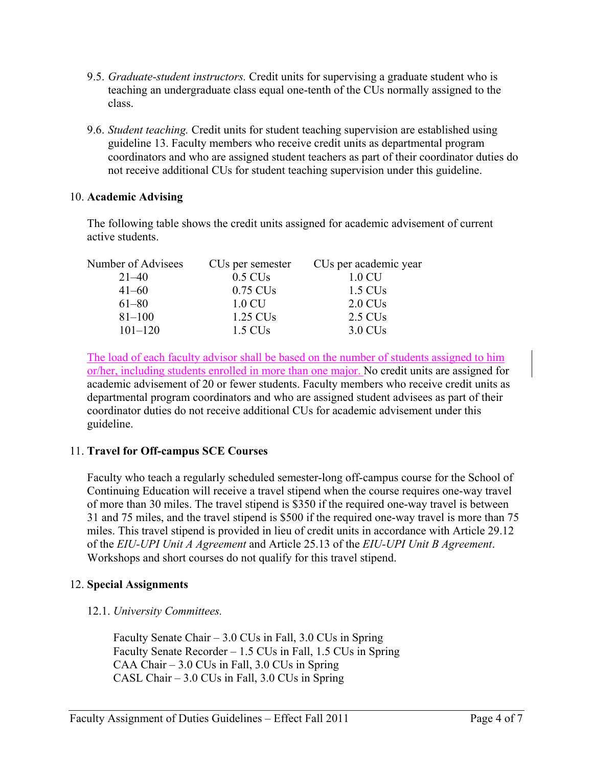- 9.5. *Graduate-student instructors.* Credit units for supervising a graduate student who is teaching an undergraduate class equal one-tenth of the CUs normally assigned to the class.
- 9.6. *Student teaching.* Credit units for student teaching supervision are established using guideline 13. Faculty members who receive credit units as departmental program coordinators and who are assigned student teachers as part of their coordinator duties do not receive additional CUs for student teaching supervision under this guideline.

#### 10. **Academic Advising**

The following table shows the credit units assigned for academic advisement of current active students.

| Number of Advisees | CUs per semester     | CUs per academic year |
|--------------------|----------------------|-----------------------|
| $21 - 40$          | $0.5$ CUs            | $1.0 \text{CU}$       |
| $41 - 60$          | $0.75$ CUs           | 1.5 CU <sub>s</sub>   |
| $61 - 80$          | 1.0 CU               | $2.0 \text{ CUs}$     |
| $81 - 100$         | 1.25 CU <sub>s</sub> | 2.5 CU <sub>s</sub>   |
| $101 - 120$        | 1.5 CU <sub>s</sub>  | 3.0 CU <sub>s</sub>   |

The load of each faculty advisor shall be based on the number of students assigned to him or/her, including students enrolled in more than one major. No credit units are assigned for academic advisement of 20 or fewer students. Faculty members who receive credit units as departmental program coordinators and who are assigned student advisees as part of their coordinator duties do not receive additional CUs for academic advisement under this guideline.

# 11. **Travel for Off-campus SCE Courses**

Faculty who teach a regularly scheduled semester-long off-campus course for the School of Continuing Education will receive a travel stipend when the course requires one-way travel of more than 30 miles. The travel stipend is \$350 if the required one-way travel is between 31 and 75 miles, and the travel stipend is \$500 if the required one-way travel is more than 75 miles. This travel stipend is provided in lieu of credit units in accordance with Article 29.12 of the *EIU-UPI Unit A Agreement* and Article 25.13 of the *EIU-UPI Unit B Agreement*. Workshops and short courses do not qualify for this travel stipend.

#### 12. **Special Assignments**

# 12.1. *University Committees.*

Faculty Senate Chair – 3.0 CUs in Fall, 3.0 CUs in Spring Faculty Senate Recorder – 1.5 CUs in Fall, 1.5 CUs in Spring CAA Chair – 3.0 CUs in Fall, 3.0 CUs in Spring CASL Chair – 3.0 CUs in Fall, 3.0 CUs in Spring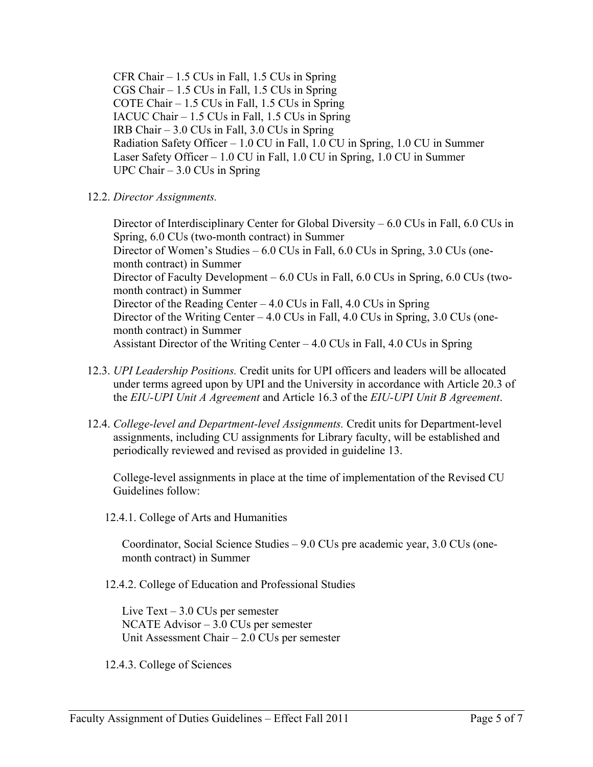CFR Chair – 1.5 CUs in Fall, 1.5 CUs in Spring CGS Chair – 1.5 CUs in Fall, 1.5 CUs in Spring COTE Chair – 1.5 CUs in Fall, 1.5 CUs in Spring IACUC Chair – 1.5 CUs in Fall, 1.5 CUs in Spring IRB Chair – 3.0 CUs in Fall, 3.0 CUs in Spring Radiation Safety Officer – 1.0 CU in Fall, 1.0 CU in Spring, 1.0 CU in Summer Laser Safety Officer – 1.0 CU in Fall, 1.0 CU in Spring, 1.0 CU in Summer UPC Chair – 3.0 CUs in Spring

12.2. *Director Assignments.*

Director of Interdisciplinary Center for Global Diversity – 6.0 CUs in Fall, 6.0 CUs in Spring, 6.0 CUs (two-month contract) in Summer Director of Women's Studies – 6.0 CUs in Fall, 6.0 CUs in Spring, 3.0 CUs (onemonth contract) in Summer Director of Faculty Development – 6.0 CUs in Fall, 6.0 CUs in Spring, 6.0 CUs (twomonth contract) in Summer Director of the Reading Center  $-4.0$  CUs in Fall,  $4.0$  CUs in Spring Director of the Writing Center – 4.0 CUs in Fall, 4.0 CUs in Spring, 3.0 CUs (onemonth contract) in Summer Assistant Director of the Writing Center – 4.0 CUs in Fall, 4.0 CUs in Spring

- 12.3. *UPI Leadership Positions.* Credit units for UPI officers and leaders will be allocated under terms agreed upon by UPI and the University in accordance with Article 20.3 of the *EIU-UPI Unit A Agreement* and Article 16.3 of the *EIU-UPI Unit B Agreement*.
- 12.4. *College-level and Department-level Assignments.* Credit units for Department-level assignments, including CU assignments for Library faculty, will be established and periodically reviewed and revised as provided in guideline 13.

College-level assignments in place at the time of implementation of the Revised CU Guidelines follow:

12.4.1. College of Arts and Humanities

Coordinator, Social Science Studies – 9.0 CUs pre academic year, 3.0 CUs (onemonth contract) in Summer

12.4.2. College of Education and Professional Studies

Live Text – 3.0 CUs per semester NCATE Advisor – 3.0 CUs per semester Unit Assessment Chair – 2.0 CUs per semester

12.4.3. College of Sciences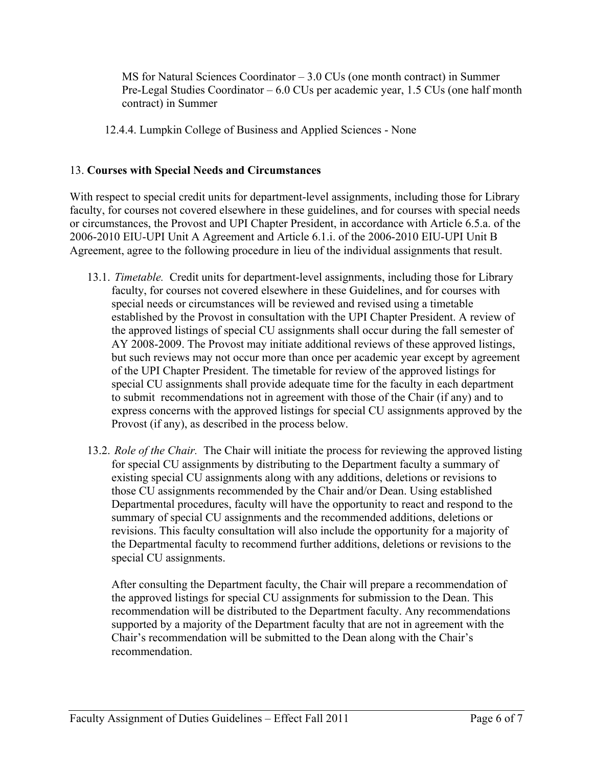MS for Natural Sciences Coordinator – 3.0 CUs (one month contract) in Summer Pre-Legal Studies Coordinator – 6.0 CUs per academic year, 1.5 CUs (one half month contract) in Summer

12.4.4. Lumpkin College of Business and Applied Sciences - None

# 13. **Courses with Special Needs and Circumstances**

With respect to special credit units for department-level assignments, including those for Library faculty, for courses not covered elsewhere in these guidelines, and for courses with special needs or circumstances, the Provost and UPI Chapter President, in accordance with Article 6.5.a. of the 2006-2010 EIU-UPI Unit A Agreement and Article 6.1.i. of the 2006-2010 EIU-UPI Unit B Agreement, agree to the following procedure in lieu of the individual assignments that result.

- 13.1. *Timetable.* Credit units for department-level assignments, including those for Library faculty, for courses not covered elsewhere in these Guidelines, and for courses with special needs or circumstances will be reviewed and revised using a timetable established by the Provost in consultation with the UPI Chapter President. A review of the approved listings of special CU assignments shall occur during the fall semester of AY 2008-2009. The Provost may initiate additional reviews of these approved listings, but such reviews may not occur more than once per academic year except by agreement of the UPI Chapter President. The timetable for review of the approved listings for special CU assignments shall provide adequate time for the faculty in each department to submit recommendations not in agreement with those of the Chair (if any) and to express concerns with the approved listings for special CU assignments approved by the Provost (if any), as described in the process below.
- 13.2. *Role of the Chair.* The Chair will initiate the process for reviewing the approved listing for special CU assignments by distributing to the Department faculty a summary of existing special CU assignments along with any additions, deletions or revisions to those CU assignments recommended by the Chair and/or Dean. Using established Departmental procedures, faculty will have the opportunity to react and respond to the summary of special CU assignments and the recommended additions, deletions or revisions. This faculty consultation will also include the opportunity for a majority of the Departmental faculty to recommend further additions, deletions or revisions to the special CU assignments.

After consulting the Department faculty, the Chair will prepare a recommendation of the approved listings for special CU assignments for submission to the Dean. This recommendation will be distributed to the Department faculty. Any recommendations supported by a majority of the Department faculty that are not in agreement with the Chair's recommendation will be submitted to the Dean along with the Chair's recommendation.